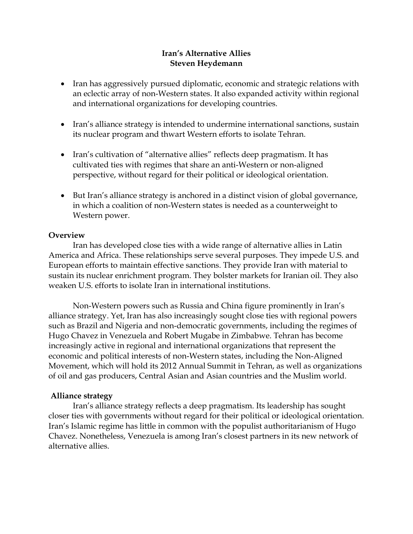## **Iran's Alternative Allies Steven Heydemann**

- Iran has aggressively pursued diplomatic, economic and strategic relations with an eclectic array of non-Western states. It also expanded activity within regional and international organizations for developing countries.
- Iran's alliance strategy is intended to undermine international sanctions, sustain its nuclear program and thwart Western efforts to isolate Tehran.
- Iran's cultivation of "alternative allies" reflects deep pragmatism. It has cultivated ties with regimes that share an anti-Western or non-aligned perspective, without regard for their political or ideological orientation.
- But Iran's alliance strategy is anchored in a distinct vision of global governance, in which a coalition of non-Western states is needed as a counterweight to Western power.

### **Overview**

Iran has developed close ties with a wide range of alternative allies in Latin America and Africa. These relationships serve several purposes. They impede U.S. and European efforts to maintain effective sanctions. They provide Iran with material to sustain its nuclear enrichment program. They bolster markets for Iranian oil. They also weaken U.S. efforts to isolate Iran in international institutions.

Non-Western powers such as Russia and China figure prominently in Iran's alliance strategy. Yet, Iran has also increasingly sought close ties with regional powers such as Brazil and Nigeria and non-democratic governments, including the regimes of Hugo Chavez in Venezuela and Robert Mugabe in Zimbabwe. Tehran has become increasingly active in regional and international organizations that represent the economic and political interests of non-Western states, including the Non-Aligned Movement, which will hold its 2012 Annual Summit in Tehran, as well as organizations of oil and gas producers, Central Asian and Asian countries and the Muslim world.

## **Alliance strategy**

Iran's alliance strategy reflects a deep pragmatism. Its leadership has sought closer ties with governments without regard for their political or ideological orientation. Iran's Islamic regime has little in common with the populist authoritarianism of Hugo Chavez. Nonetheless, Venezuela is among Iran's closest partners in its new network of alternative allies.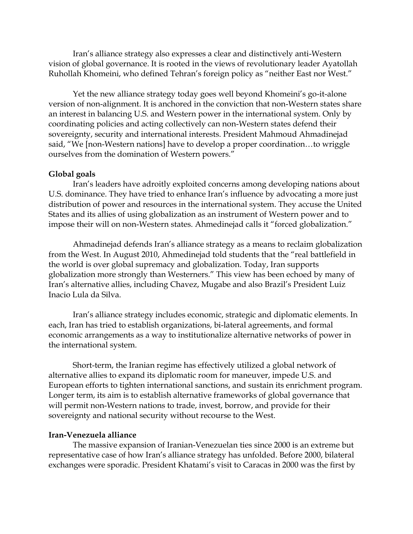Iran's alliance strategy also expresses a clear and distinctively anti-Western vision of global governance. It is rooted in the views of revolutionary leader Ayatollah Ruhollah Khomeini, who defined Tehran's foreign policy as "neither East nor West."

Yet the new alliance strategy today goes well beyond Khomeini's go-it-alone version of non-alignment. It is anchored in the conviction that non-Western states share an interest in balancing U.S. and Western power in the international system. Only by coordinating policies and acting collectively can non-Western states defend their sovereignty, security and international interests. President Mahmoud Ahmadinejad said, "We [non-Western nations] have to develop a proper coordination…to wriggle ourselves from the domination of Western powers."

### **Global goals**

Iran's leaders have adroitly exploited concerns among developing nations about U.S. dominance. They have tried to enhance Iran's influence by advocating a more just distribution of power and resources in the international system. They accuse the United States and its allies of using globalization as an instrument of Western power and to impose their will on non-Western states. Ahmedinejad calls it "forced globalization."

Ahmadinejad defends Iran's alliance strategy as a means to reclaim globalization from the West. In August 2010, Ahmedinejad told students that the "real battlefield in the world is over global supremacy and globalization. Today, Iran supports globalization more strongly than Westerners." This view has been echoed by many of Iran's alternative allies, including Chavez, Mugabe and also Brazil's President Luiz Inacio Lula da Silva.

Iran's alliance strategy includes economic, strategic and diplomatic elements. In each, Iran has tried to establish organizations, bi-lateral agreements, and formal economic arrangements as a way to institutionalize alternative networks of power in the international system.

Short-term, the Iranian regime has effectively utilized a global network of alternative allies to expand its diplomatic room for maneuver, impede U.S. and European efforts to tighten international sanctions, and sustain its enrichment program. Longer term, its aim is to establish alternative frameworks of global governance that will permit non-Western nations to trade, invest, borrow, and provide for their sovereignty and national security without recourse to the West.

#### **Iran-Venezuela alliance**

The massive expansion of Iranian-Venezuelan ties since 2000 is an extreme but representative case of how Iran's alliance strategy has unfolded. Before 2000, bilateral exchanges were sporadic. President Khatami's visit to Caracas in 2000 was the first by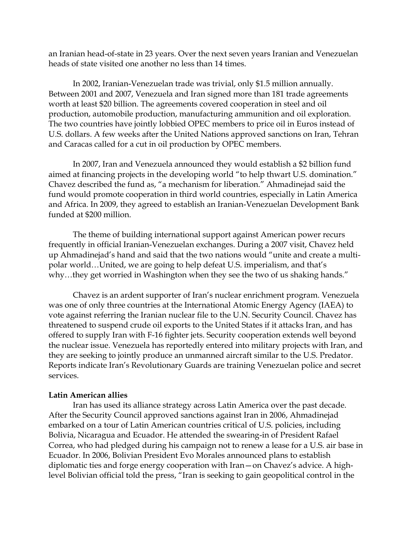an Iranian head-of-state in 23 years. Over the next seven years Iranian and Venezuelan heads of state visited one another no less than 14 times.

In 2002, Iranian-Venezuelan trade was trivial, only \$1.5 million annually. Between 2001 and 2007, Venezuela and Iran signed more than 181 trade agreements worth at least \$20 billion. The agreements covered cooperation in steel and oil production, automobile production, manufacturing ammunition and oil exploration. The two countries have jointly lobbied OPEC members to price oil in Euros instead of U.S. dollars. A few weeks after the United Nations approved sanctions on Iran, Tehran and Caracas called for a cut in oil production by OPEC members.

In 2007, Iran and Venezuela announced they would establish a \$2 billion fund aimed at financing projects in the developing world "to help thwart U.S. domination." Chavez described the fund as, "a mechanism for liberation." Ahmadinejad said the fund would promote cooperation in third world countries, especially in Latin America and Africa. In 2009, they agreed to establish an Iranian-Venezuelan Development Bank funded at \$200 million.

The theme of building international support against American power recurs frequently in official Iranian-Venezuelan exchanges. During a 2007 visit, Chavez held up Ahmadinejad's hand and said that the two nations would "unite and create a multipolar world…United, we are going to help defeat U.S. imperialism, and that's why…they get worried in Washington when they see the two of us shaking hands."

Chavez is an ardent supporter of Iran's nuclear enrichment program. Venezuela was one of only three countries at the International Atomic Energy Agency (IAEA) to vote against referring the Iranian nuclear file to the U.N. Security Council. Chavez has threatened to suspend crude oil exports to the United States if it attacks Iran, and has offered to supply Iran with F-16 fighter jets. Security cooperation extends well beyond the nuclear issue. Venezuela has reportedly entered into military projects with Iran, and they are seeking to jointly produce an unmanned aircraft similar to the U.S. Predator. Reports indicate Iran's Revolutionary Guards are training Venezuelan police and secret services.

### **Latin American allies**

Iran has used its alliance strategy across Latin America over the past decade. After the Security Council approved sanctions against Iran in 2006, Ahmadinejad embarked on a tour of Latin American countries critical of U.S. policies, including Bolivia, Nicaragua and Ecuador. He attended the swearing-in of President Rafael Correa, who had pledged during his campaign not to renew a lease for a U.S. air base in Ecuador. In 2006, Bolivian President Evo Morales announced plans to establish diplomatic ties and forge energy cooperation with Iran—on Chavez's advice. A highlevel Bolivian official told the press, "Iran is seeking to gain geopolitical control in the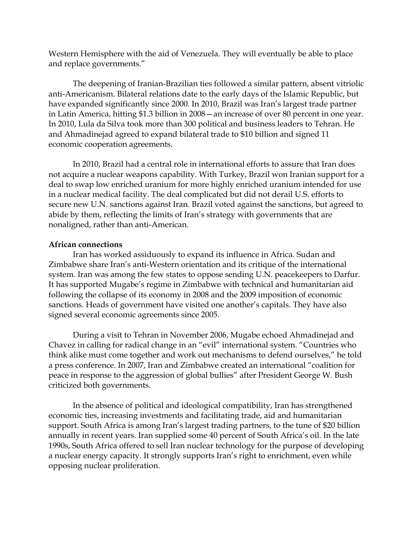Western Hemisphere with the aid of Venezuela. They will eventually be able to place and replace governments."

The deepening of Iranian-Brazilian ties followed a similar pattern, absent vitriolic anti-Americanism. Bilateral relations date to the early days of the Islamic Republic, but have expanded significantly since 2000. In 2010, Brazil was Iran's largest trade partner in Latin America, hitting \$1.3 billion in 2008—an increase of over 80 percent in one year. In 2010, Lula da Silva took more than 300 political and business leaders to Tehran. He and Ahmadinejad agreed to expand bilateral trade to \$10 billion and signed 11 economic cooperation agreements.

In 2010, Brazil had a central role in international efforts to assure that Iran does not acquire a nuclear weapons capability. With Turkey, Brazil won Iranian support for a deal to swap low enriched uranium for more highly enriched uranium intended for use in a nuclear medical facility. The deal complicated but did not derail U.S. efforts to secure new U.N. sanctions against Iran. Brazil voted against the sanctions, but agreed to abide by them, reflecting the limits of Iran's strategy with governments that are nonaligned, rather than anti-American.

## **African connections**

Iran has worked assiduously to expand its influence in Africa. Sudan and Zimbabwe share Iran's anti-Western orientation and its critique of the international system. Iran was among the few states to oppose sending U.N. peacekeepers to Darfur. It has supported Mugabe's regime in Zimbabwe with technical and humanitarian aid following the collapse of its economy in 2008 and the 2009 imposition of economic sanctions. Heads of government have visited one another's capitals. They have also signed several economic agreements since 2005.

During a visit to Tehran in November 2006, Mugabe echoed Ahmadinejad and Chavez in calling for radical change in an "evil" international system. "Countries who think alike must come together and work out mechanisms to defend ourselves," he told a press conference. In 2007, Iran and Zimbabwe created an international "coalition for peace in response to the aggression of global bullies" after President George W. Bush criticized both governments.

In the absence of political and ideological compatibility, Iran has strengthened economic ties, increasing investments and facilitating trade, aid and humanitarian support. South Africa is among Iran's largest trading partners, to the tune of \$20 billion annually in recent years. Iran supplied some 40 percent of South Africa's oil. In the late 1990s, South Africa offered to sell Iran nuclear technology for the purpose of developing a nuclear energy capacity. It strongly supports Iran's right to enrichment, even while opposing nuclear proliferation.